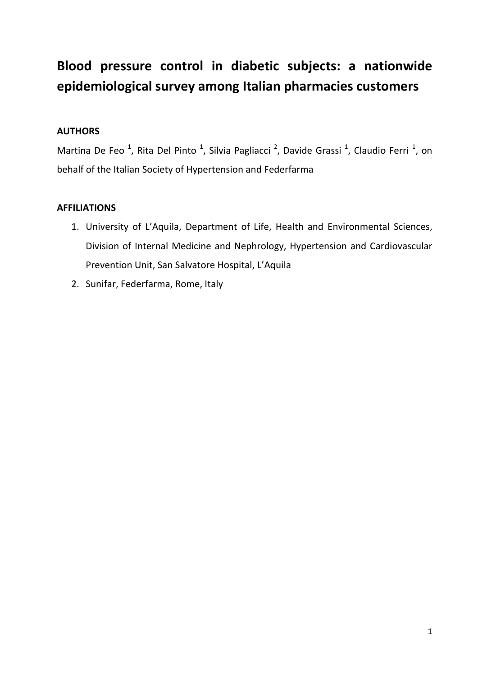# Blood pressure control in diabetic subjects: a nationwide epidemiological survey among Italian pharmacies customers

# AUTHORS

Martina De Feo<sup>1</sup>, Rita Del Pinto<sup>1</sup>, Silvia Pagliacci<sup>2</sup>, Davide Grassi<sup>1</sup>, Claudio Ferri<sup>1</sup>, on behalf of the Italian Society of Hypertension and Federfarma

# AFFILIATIONS

- 1. University of L'Aquila, Department of Life, Health and Environmental Sciences, Division of Internal Medicine and Nephrology, Hypertension and Cardiovascular Prevention Unit, San Salvatore Hospital, L'Aquila
- 2. Sunifar, Federfarma, Rome, Italy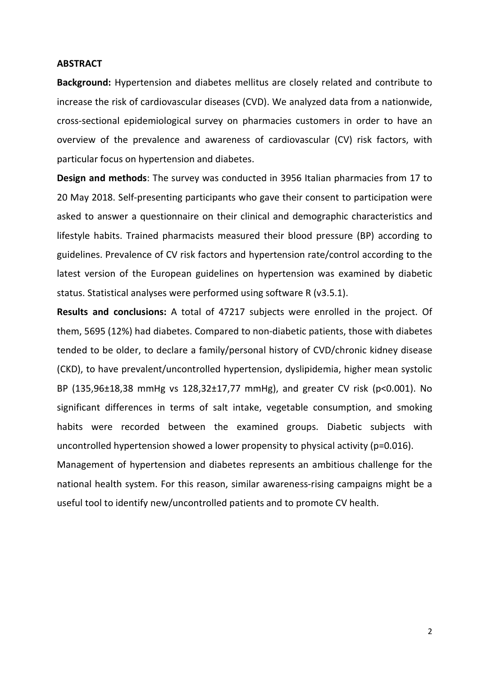#### **ABSTRACT**

Background: Hypertension and diabetes mellitus are closely related and contribute to increase the risk of cardiovascular diseases (CVD). We analyzed data from a nationwide, cross-sectional epidemiological survey on pharmacies customers in order to have an overview of the prevalence and awareness of cardiovascular (CV) risk factors, with particular focus on hypertension and diabetes.

Design and methods: The survey was conducted in 3956 Italian pharmacies from 17 to 20 May 2018. Self-presenting participants who gave their consent to participation were asked to answer a questionnaire on their clinical and demographic characteristics and lifestyle habits. Trained pharmacists measured their blood pressure (BP) according to guidelines. Prevalence of CV risk factors and hypertension rate/control according to the latest version of the European guidelines on hypertension was examined by diabetic status. Statistical analyses were performed using software R (v3.5.1).

Results and conclusions: A total of 47217 subjects were enrolled in the project. Of them, 5695 (12%) had diabetes. Compared to non-diabetic patients, those with diabetes tended to be older, to declare a family/personal history of CVD/chronic kidney disease (CKD), to have prevalent/uncontrolled hypertension, dyslipidemia, higher mean systolic BP (135,96±18,38 mmHg vs 128,32±17,77 mmHg), and greater CV risk (p<0.001). No significant differences in terms of salt intake, vegetable consumption, and smoking habits were recorded between the examined groups. Diabetic subjects with uncontrolled hypertension showed a lower propensity to physical activity (p=0.016).

Management of hypertension and diabetes represents an ambitious challenge for the national health system. For this reason, similar awareness-rising campaigns might be a useful tool to identify new/uncontrolled patients and to promote CV health.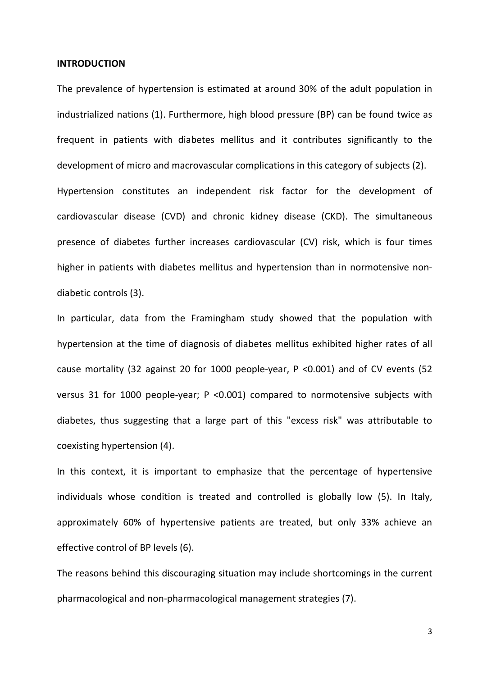#### INTRODUCTION

The prevalence of hypertension is estimated at around 30% of the adult population in industrialized nations (1). Furthermore, high blood pressure (BP) can be found twice as frequent in patients with diabetes mellitus and it contributes significantly to the development of micro and macrovascular complications in this category of subjects (2). Hypertension constitutes an independent risk factor for the development of cardiovascular disease (CVD) and chronic kidney disease (CKD). The simultaneous presence of diabetes further increases cardiovascular (CV) risk, which is four times higher in patients with diabetes mellitus and hypertension than in normotensive nondiabetic controls (3).

In particular, data from the Framingham study showed that the population with hypertension at the time of diagnosis of diabetes mellitus exhibited higher rates of all cause mortality (32 against 20 for 1000 people-year, P <0.001) and of CV events (52 versus 31 for 1000 people-year; P <0.001) compared to normotensive subjects with diabetes, thus suggesting that a large part of this "excess risk" was attributable to coexisting hypertension (4).

In this context, it is important to emphasize that the percentage of hypertensive individuals whose condition is treated and controlled is globally low (5). In Italy, approximately 60% of hypertensive patients are treated, but only 33% achieve an effective control of BP levels (6).

The reasons behind this discouraging situation may include shortcomings in the current pharmacological and non-pharmacological management strategies (7).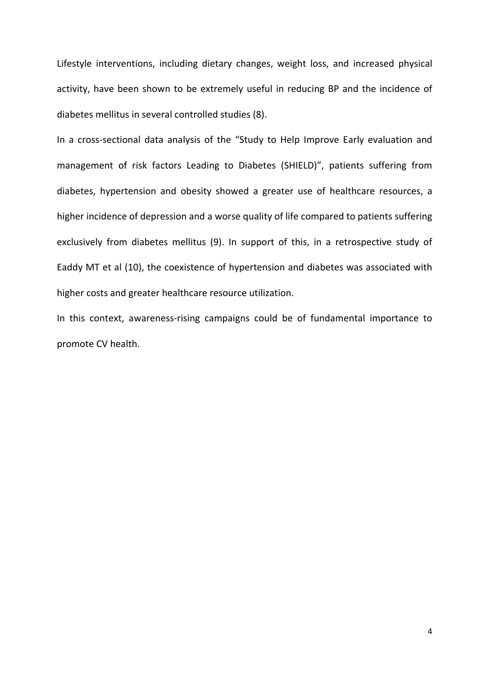Lifestyle interventions, including dietary changes, weight loss, and increased physical activity, have been shown to be extremely useful in reducing BP and the incidence of diabetes mellitus in several controlled studies (8).

In a cross-sectional data analysis of the "Study to Help Improve Early evaluation and management of risk factors Leading to Diabetes (SHIELD)", patients suffering from diabetes, hypertension and obesity showed a greater use of healthcare resources, a higher incidence of depression and a worse quality of life compared to patients suffering exclusively from diabetes mellitus (9). In support of this, in a retrospective study of Eaddy MT et al (10), the coexistence of hypertension and diabetes was associated with higher costs and greater healthcare resource utilization.

In this context, awareness-rising campaigns could be of fundamental importance to promote CV health.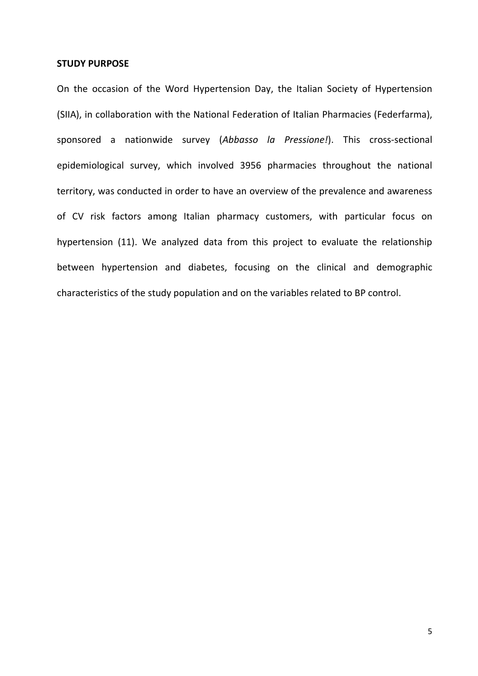#### STUDY PURPOSE

On the occasion of the Word Hypertension Day, the Italian Society of Hypertension (SIIA), in collaboration with the National Federation of Italian Pharmacies (Federfarma), sponsored a nationwide survey (Abbasso la Pressione!). This cross-sectional epidemiological survey, which involved 3956 pharmacies throughout the national territory, was conducted in order to have an overview of the prevalence and awareness of CV risk factors among Italian pharmacy customers, with particular focus on hypertension (11). We analyzed data from this project to evaluate the relationship between hypertension and diabetes, focusing on the clinical and demographic characteristics of the study population and on the variables related to BP control.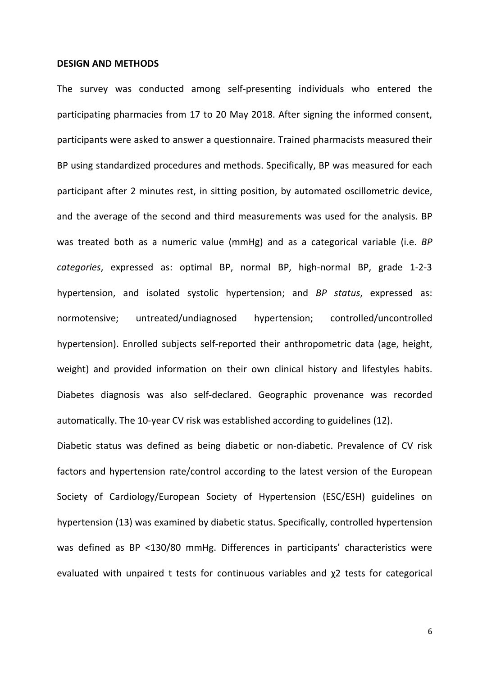#### DESIGN AND METHODS

The survey was conducted among self-presenting individuals who entered the participating pharmacies from 17 to 20 May 2018. After signing the informed consent, participants were asked to answer a questionnaire. Trained pharmacists measured their BP using standardized procedures and methods. Specifically, BP was measured for each participant after 2 minutes rest, in sitting position, by automated oscillometric device, and the average of the second and third measurements was used for the analysis. BP was treated both as a numeric value (mmHg) and as a categorical variable (i.e. BP categories, expressed as: optimal BP, normal BP, high-normal BP, grade 1-2-3 hypertension, and isolated systolic hypertension; and BP status, expressed as: normotensive; untreated/undiagnosed hypertension; controlled/uncontrolled hypertension). Enrolled subjects self-reported their anthropometric data (age, height, weight) and provided information on their own clinical history and lifestyles habits. Diabetes diagnosis was also self-declared. Geographic provenance was recorded automatically. The 10-year CV risk was established according to guidelines (12).

Diabetic status was defined as being diabetic or non-diabetic. Prevalence of CV risk factors and hypertension rate/control according to the latest version of the European Society of Cardiology/European Society of Hypertension (ESC/ESH) guidelines on hypertension (13) was examined by diabetic status. Specifically, controlled hypertension was defined as BP <130/80 mmHg. Differences in participants' characteristics were evaluated with unpaired t tests for continuous variables and χ2 tests for categorical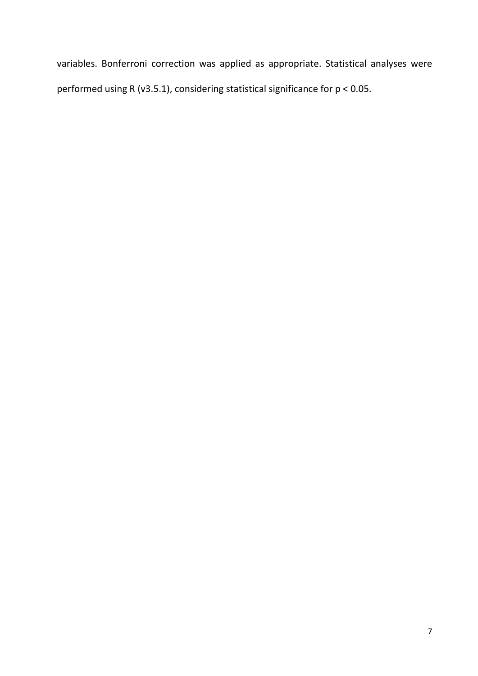variables. Bonferroni correction was applied as appropriate. Statistical analyses were performed using R (v3.5.1), considering statistical significance for p < 0.05.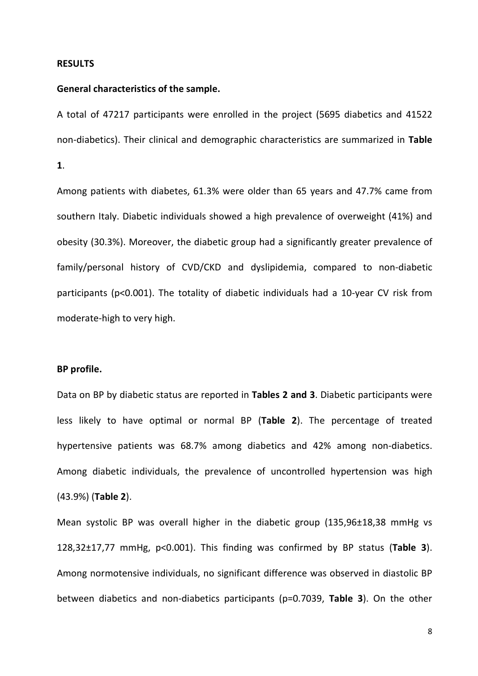#### RESULTS

#### General characteristics of the sample.

A total of 47217 participants were enrolled in the project (5695 diabetics and 41522 non-diabetics). Their clinical and demographic characteristics are summarized in Table 1.

Among patients with diabetes, 61.3% were older than 65 years and 47.7% came from southern Italy. Diabetic individuals showed a high prevalence of overweight (41%) and obesity (30.3%). Moreover, the diabetic group had a significantly greater prevalence of family/personal history of CVD/CKD and dyslipidemia, compared to non-diabetic participants (p<0.001). The totality of diabetic individuals had a 10-year CV risk from moderate-high to very high.

### BP profile.

Data on BP by diabetic status are reported in Tables 2 and 3. Diabetic participants were less likely to have optimal or normal BP (Table 2). The percentage of treated hypertensive patients was 68.7% among diabetics and 42% among non-diabetics. Among diabetic individuals, the prevalence of uncontrolled hypertension was high (43.9%) (Table 2).

Mean systolic BP was overall higher in the diabetic group (135,96±18,38 mmHg vs 128,32±17,77 mmHg, p<0.001). This finding was confirmed by BP status (Table 3). Among normotensive individuals, no significant difference was observed in diastolic BP between diabetics and non-diabetics participants (p=0.7039, Table 3). On the other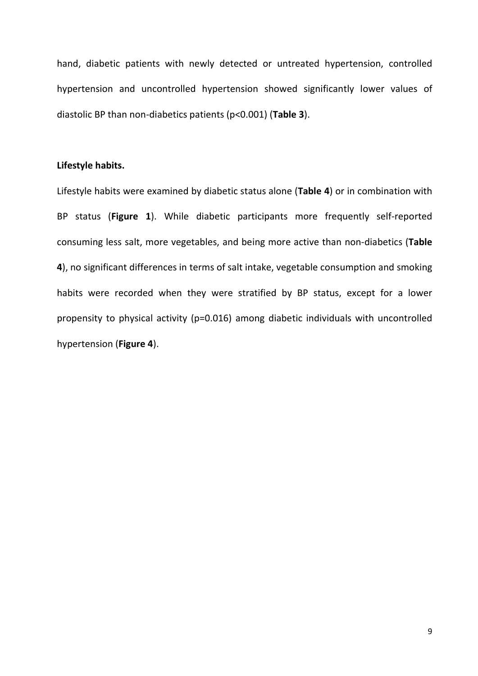hand, diabetic patients with newly detected or untreated hypertension, controlled hypertension and uncontrolled hypertension showed significantly lower values of diastolic BP than non-diabetics patients (p<0.001) (Table 3).

## Lifestyle habits.

Lifestyle habits were examined by diabetic status alone (Table 4) or in combination with BP status (Figure 1). While diabetic participants more frequently self-reported consuming less salt, more vegetables, and being more active than non-diabetics (Table 4), no significant differences in terms of salt intake, vegetable consumption and smoking habits were recorded when they were stratified by BP status, except for a lower propensity to physical activity (p=0.016) among diabetic individuals with uncontrolled hypertension (Figure 4).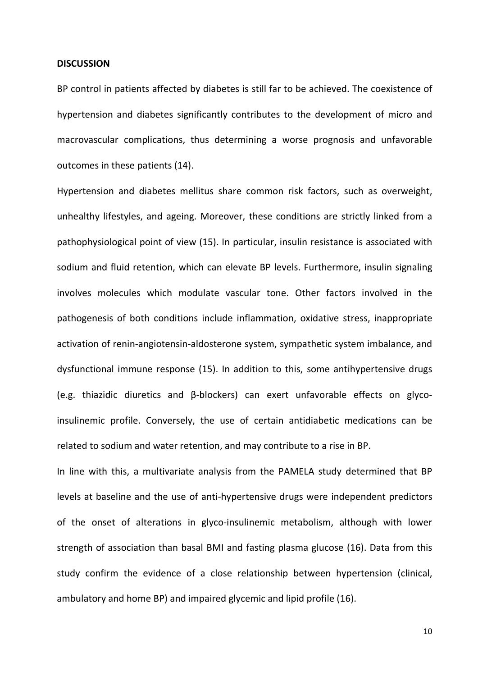#### **DISCUSSION**

BP control in patients affected by diabetes is still far to be achieved. The coexistence of hypertension and diabetes significantly contributes to the development of micro and macrovascular complications, thus determining a worse prognosis and unfavorable outcomes in these patients (14).

Hypertension and diabetes mellitus share common risk factors, such as overweight, unhealthy lifestyles, and ageing. Moreover, these conditions are strictly linked from a pathophysiological point of view (15). In particular, insulin resistance is associated with sodium and fluid retention, which can elevate BP levels. Furthermore, insulin signaling involves molecules which modulate vascular tone. Other factors involved in the pathogenesis of both conditions include inflammation, oxidative stress, inappropriate activation of renin-angiotensin-aldosterone system, sympathetic system imbalance, and dysfunctional immune response (15). In addition to this, some antihypertensive drugs (e.g. thiazidic diuretics and β-blockers) can exert unfavorable effects on glycoinsulinemic profile. Conversely, the use of certain antidiabetic medications can be related to sodium and water retention, and may contribute to a rise in BP.

In line with this, a multivariate analysis from the PAMELA study determined that BP levels at baseline and the use of anti-hypertensive drugs were independent predictors of the onset of alterations in glyco-insulinemic metabolism, although with lower strength of association than basal BMI and fasting plasma glucose (16). Data from this study confirm the evidence of a close relationship between hypertension (clinical, ambulatory and home BP) and impaired glycemic and lipid profile (16).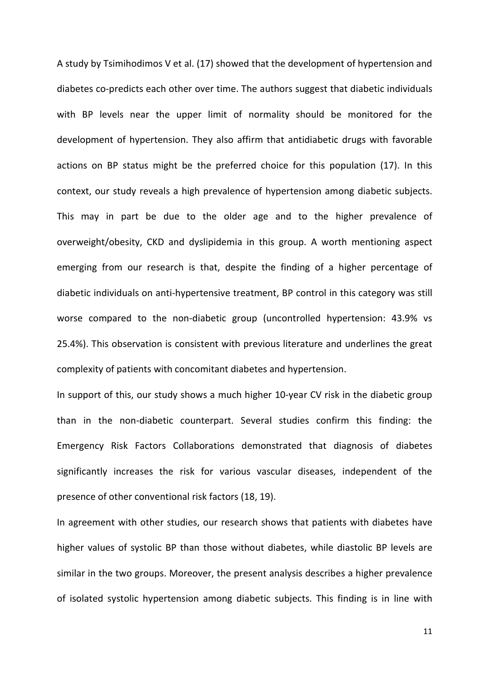A study by Tsimihodimos V et al. (17) showed that the development of hypertension and diabetes co-predicts each other over time. The authors suggest that diabetic individuals with BP levels near the upper limit of normality should be monitored for the development of hypertension. They also affirm that antidiabetic drugs with favorable actions on BP status might be the preferred choice for this population (17). In this context, our study reveals a high prevalence of hypertension among diabetic subjects. This may in part be due to the older age and to the higher prevalence of overweight/obesity, CKD and dyslipidemia in this group. A worth mentioning aspect emerging from our research is that, despite the finding of a higher percentage of diabetic individuals on anti-hypertensive treatment, BP control in this category was still worse compared to the non-diabetic group (uncontrolled hypertension: 43.9% vs 25.4%). This observation is consistent with previous literature and underlines the great complexity of patients with concomitant diabetes and hypertension.

In support of this, our study shows a much higher 10-year CV risk in the diabetic group than in the non-diabetic counterpart. Several studies confirm this finding: the Emergency Risk Factors Collaborations demonstrated that diagnosis of diabetes significantly increases the risk for various vascular diseases, independent of the presence of other conventional risk factors (18, 19).

In agreement with other studies, our research shows that patients with diabetes have higher values of systolic BP than those without diabetes, while diastolic BP levels are similar in the two groups. Moreover, the present analysis describes a higher prevalence of isolated systolic hypertension among diabetic subjects. This finding is in line with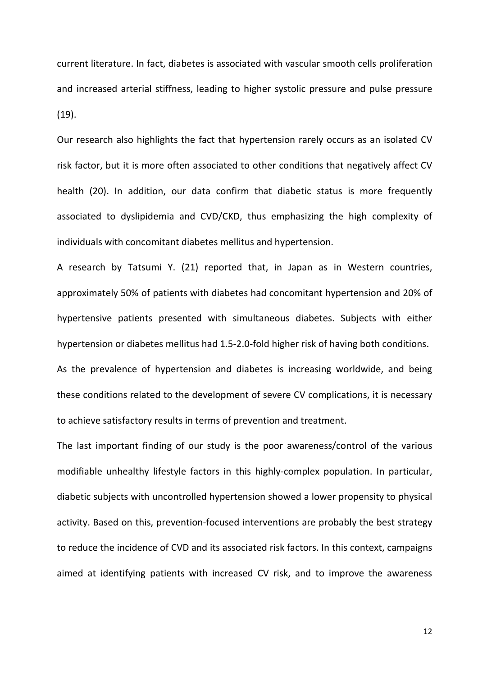current literature. In fact, diabetes is associated with vascular smooth cells proliferation and increased arterial stiffness, leading to higher systolic pressure and pulse pressure (19).

Our research also highlights the fact that hypertension rarely occurs as an isolated CV risk factor, but it is more often associated to other conditions that negatively affect CV health (20). In addition, our data confirm that diabetic status is more frequently associated to dyslipidemia and CVD/CKD, thus emphasizing the high complexity of individuals with concomitant diabetes mellitus and hypertension.

A research by Tatsumi Y. (21) reported that, in Japan as in Western countries, approximately 50% of patients with diabetes had concomitant hypertension and 20% of hypertensive patients presented with simultaneous diabetes. Subjects with either hypertension or diabetes mellitus had 1.5-2.0-fold higher risk of having both conditions. As the prevalence of hypertension and diabetes is increasing worldwide, and being these conditions related to the development of severe CV complications, it is necessary to achieve satisfactory results in terms of prevention and treatment.

The last important finding of our study is the poor awareness/control of the various modifiable unhealthy lifestyle factors in this highly-complex population. In particular, diabetic subjects with uncontrolled hypertension showed a lower propensity to physical activity. Based on this, prevention-focused interventions are probably the best strategy to reduce the incidence of CVD and its associated risk factors. In this context, campaigns aimed at identifying patients with increased CV risk, and to improve the awareness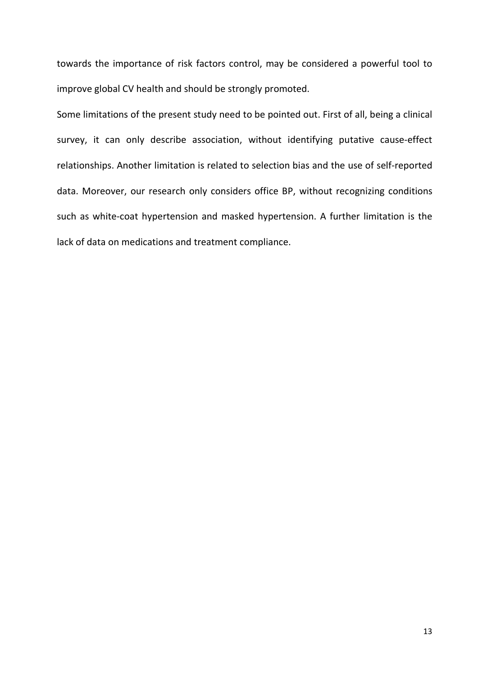towards the importance of risk factors control, may be considered a powerful tool to improve global CV health and should be strongly promoted.

Some limitations of the present study need to be pointed out. First of all, being a clinical survey, it can only describe association, without identifying putative cause-effect relationships. Another limitation is related to selection bias and the use of self-reported data. Moreover, our research only considers office BP, without recognizing conditions such as white-coat hypertension and masked hypertension. A further limitation is the lack of data on medications and treatment compliance.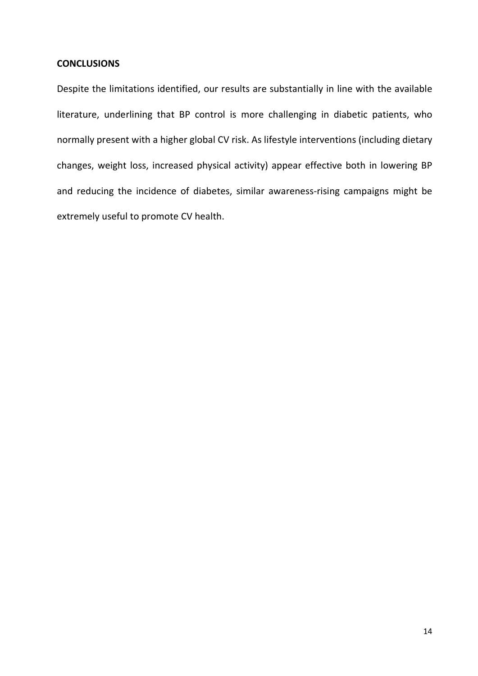## **CONCLUSIONS**

Despite the limitations identified, our results are substantially in line with the available literature, underlining that BP control is more challenging in diabetic patients, who normally present with a higher global CV risk. As lifestyle interventions (including dietary changes, weight loss, increased physical activity) appear effective both in lowering BP and reducing the incidence of diabetes, similar awareness-rising campaigns might be extremely useful to promote CV health.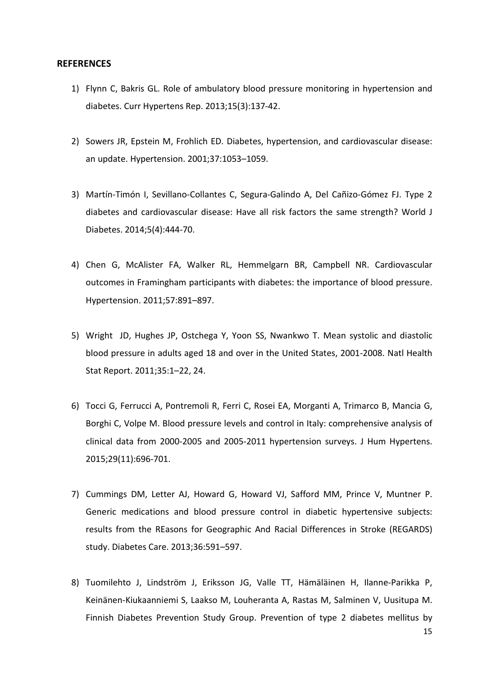#### **REFERENCES**

- 1) Flynn C, Bakris GL. Role of ambulatory blood pressure monitoring in hypertension and diabetes. Curr Hypertens Rep. 2013;15(3):137-42.
- 2) Sowers JR, Epstein M, Frohlich ED. Diabetes, hypertension, and cardiovascular disease: an update. Hypertension. 2001;37:1053–1059.
- 3) Martín-Timón I, Sevillano-Collantes C, Segura-Galindo A, Del Cañizo-Gómez FJ. Type 2 diabetes and cardiovascular disease: Have all risk factors the same strength? World J Diabetes. 2014;5(4):444-70.
- 4) Chen G, McAlister FA, Walker RL, Hemmelgarn BR, Campbell NR. Cardiovascular outcomes in Framingham participants with diabetes: the importance of blood pressure. Hypertension. 2011;57:891–897.
- 5) Wright JD, Hughes JP, Ostchega Y, Yoon SS, Nwankwo T. Mean systolic and diastolic blood pressure in adults aged 18 and over in the United States, 2001-2008. Natl Health Stat Report. 2011;35:1–22, 24.
- 6) Tocci G, Ferrucci A, Pontremoli R, Ferri C, Rosei EA, Morganti A, Trimarco B, Mancia G, Borghi C, Volpe M. Blood pressure levels and control in Italy: comprehensive analysis of clinical data from 2000-2005 and 2005-2011 hypertension surveys. J Hum Hypertens. 2015;29(11):696-701.
- 7) Cummings DM, Letter AJ, Howard G, Howard VJ, Safford MM, Prince V, Muntner P. Generic medications and blood pressure control in diabetic hypertensive subjects: results from the REasons for Geographic And Racial Differences in Stroke (REGARDS) study. Diabetes Care. 2013;36:591–597.
- 8) Tuomilehto J, Lindström J, Eriksson JG, Valle TT, Hämäläinen H, Ilanne-Parikka P, Keinänen-Kiukaanniemi S, Laakso M, Louheranta A, Rastas M, Salminen V, Uusitupa M. Finnish Diabetes Prevention Study Group. Prevention of type 2 diabetes mellitus by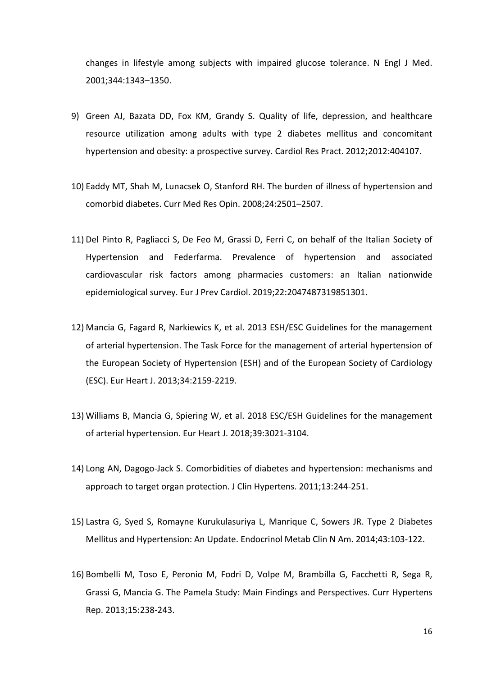changes in lifestyle among subjects with impaired glucose tolerance. N Engl J Med. 2001;344:1343–1350.

- 9) Green AJ, Bazata DD, Fox KM, Grandy S. Quality of life, depression, and healthcare resource utilization among adults with type 2 diabetes mellitus and concomitant hypertension and obesity: a prospective survey. Cardiol Res Pract. 2012;2012:404107.
- 10) Eaddy MT, Shah M, Lunacsek O, Stanford RH. The burden of illness of hypertension and comorbid diabetes. Curr Med Res Opin. 2008;24:2501–2507.
- 11) Del Pinto R, Pagliacci S, De Feo M, Grassi D, Ferri C, on behalf of the Italian Society of Hypertension and Federfarma. Prevalence of hypertension and associated cardiovascular risk factors among pharmacies customers: an Italian nationwide epidemiological survey. Eur J Prev Cardiol. 2019;22:2047487319851301.
- 12) Mancia G, Fagard R, Narkiewics K, et al. 2013 ESH/ESC Guidelines for the management of arterial hypertension. The Task Force for the management of arterial hypertension of the European Society of Hypertension (ESH) and of the European Society of Cardiology (ESC). Eur Heart J. 2013;34:2159-2219.
- 13) Williams B, Mancia G, Spiering W, et al. 2018 ESC/ESH Guidelines for the management of arterial hypertension. Eur Heart J. 2018;39:3021-3104.
- 14) Long AN, Dagogo-Jack S. Comorbidities of diabetes and hypertension: mechanisms and approach to target organ protection. J Clin Hypertens. 2011;13:244-251.
- 15) Lastra G, Syed S, Romayne Kurukulasuriya L, Manrique C, Sowers JR. Type 2 Diabetes Mellitus and Hypertension: An Update. Endocrinol Metab Clin N Am. 2014;43:103-122.
- 16) Bombelli M, Toso E, Peronio M, Fodri D, Volpe M, Brambilla G, Facchetti R, Sega R, Grassi G, Mancia G. The Pamela Study: Main Findings and Perspectives. Curr Hypertens Rep. 2013;15:238-243.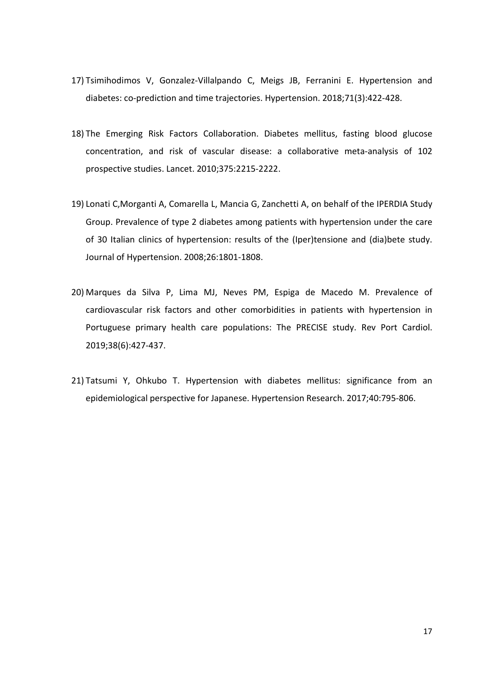- 17) Tsimihodimos V, Gonzalez-Villalpando C, Meigs JB, Ferranini E. Hypertension and diabetes: co-prediction and time trajectories. Hypertension. 2018;71(3):422-428.
- 18) The Emerging Risk Factors Collaboration. Diabetes mellitus, fasting blood glucose concentration, and risk of vascular disease: a collaborative meta-analysis of 102 prospective studies. Lancet. 2010;375:2215-2222.
- 19) Lonati C,Morganti A, Comarella L, Mancia G, Zanchetti A, on behalf of the IPERDIA Study Group. Prevalence of type 2 diabetes among patients with hypertension under the care of 30 Italian clinics of hypertension: results of the (Iper)tensione and (dia)bete study. Journal of Hypertension. 2008;26:1801-1808.
- 20) Marques da Silva P, Lima MJ, Neves PM, Espiga de Macedo M. Prevalence of cardiovascular risk factors and other comorbidities in patients with hypertension in Portuguese primary health care populations: The PRECISE study. Rev Port Cardiol. 2019;38(6):427-437.
- 21) Tatsumi Y, Ohkubo T. Hypertension with diabetes mellitus: significance from an epidemiological perspective for Japanese. Hypertension Research. 2017;40:795-806.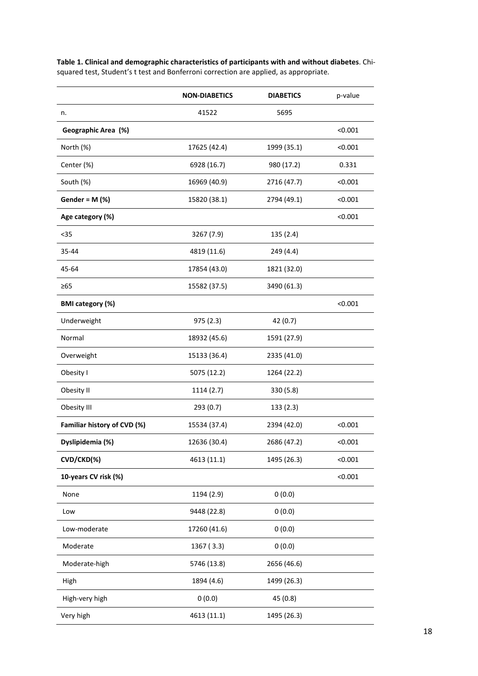|                             | <b>NON-DIABETICS</b> | <b>DIABETICS</b> | p-value |
|-----------------------------|----------------------|------------------|---------|
| n.                          | 41522                | 5695             |         |
| Geographic Area (%)         |                      |                  | < 0.001 |
| North (%)                   | 17625 (42.4)         | 1999 (35.1)      | < 0.001 |
| Center (%)                  | 6928 (16.7)          | 980 (17.2)       | 0.331   |
| South (%)                   | 16969 (40.9)         | 2716 (47.7)      | < 0.001 |
| Gender = $M$ (%)            | 15820 (38.1)         | 2794 (49.1)      | < 0.001 |
| Age category (%)            |                      |                  | < 0.001 |
| $35$                        | 3267 (7.9)           | 135 (2.4)        |         |
| 35-44                       | 4819 (11.6)          | 249 (4.4)        |         |
| 45-64                       | 17854 (43.0)         | 1821 (32.0)      |         |
| $\geq 65$                   | 15582 (37.5)         | 3490 (61.3)      |         |
| <b>BMI</b> category (%)     |                      |                  | < 0.001 |
| Underweight                 | 975(2.3)             | 42 (0.7)         |         |
| Normal                      | 18932 (45.6)         | 1591 (27.9)      |         |
| Overweight                  | 15133 (36.4)         | 2335 (41.0)      |         |
| Obesity I                   | 5075 (12.2)          | 1264 (22.2)      |         |
| Obesity II                  | 1114 (2.7)           | 330 (5.8)        |         |
| Obesity III                 | 293(0.7)             | 133(2.3)         |         |
| Familiar history of CVD (%) | 15534 (37.4)         | 2394 (42.0)      | < 0.001 |
| Dyslipidemia (%)            | 12636 (30.4)         | 2686 (47.2)      | < 0.001 |
| CVD/CKD(%)                  | 4613 (11.1)          | 1495 (26.3)      | < 0.001 |
| 10-years CV risk (%)        |                      |                  | < 0.001 |
| None                        | 1194 (2.9)           | 0(0.0)           |         |
| Low                         | 9448 (22.8)          | 0(0.0)           |         |
| Low-moderate                | 17260 (41.6)         | 0(0.0)           |         |
| Moderate                    | 1367 (3.3)           | 0(0.0)           |         |
| Moderate-high               | 5746 (13.8)          | 2656 (46.6)      |         |
| High                        | 1894 (4.6)           | 1499 (26.3)      |         |
| High-very high              | 0(0.0)               | 45 (0.8)         |         |
| Very high                   | 4613 (11.1)          | 1495 (26.3)      |         |

Table 1. Clinical and demographic characteristics of participants with and without diabetes. Chisquared test, Student's t test and Bonferroni correction are applied, as appropriate.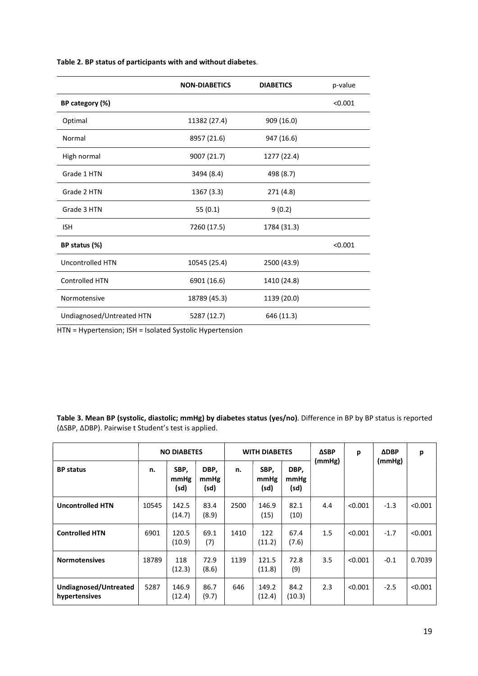|  | Table 2. BP status of participants with and without diabetes. |  |
|--|---------------------------------------------------------------|--|
|--|---------------------------------------------------------------|--|

|                           | <b>NON-DIABETICS</b> | <b>DIABETICS</b> | p-value |
|---------------------------|----------------------|------------------|---------|
| BP category (%)           |                      |                  | < 0.001 |
| Optimal                   | 11382 (27.4)         | 909 (16.0)       |         |
| Normal                    | 8957 (21.6)          | 947 (16.6)       |         |
| High normal               | 9007 (21.7)          | 1277 (22.4)      |         |
| Grade 1 HTN               | 3494 (8.4)           | 498 (8.7)        |         |
| Grade 2 HTN               | 1367(3.3)            | 271 (4.8)        |         |
| Grade 3 HTN               | 55(0.1)              | 9(0.2)           |         |
| <b>ISH</b>                | 7260 (17.5)          | 1784 (31.3)      |         |
| BP status (%)             |                      |                  | < 0.001 |
| <b>Uncontrolled HTN</b>   | 10545 (25.4)         | 2500 (43.9)      |         |
| <b>Controlled HTN</b>     | 6901 (16.6)          | 1410 (24.8)      |         |
| Normotensive              | 18789 (45.3)         | 1139 (20.0)      |         |
| Undiagnosed/Untreated HTN | 5287 (12.7)          | 646 (11.3)       |         |

HTN = Hypertension; ISH = Isolated Systolic Hypertension

Table 3. Mean BP (systolic, diastolic; mmHg) by diabetes status (yes/no). Difference in BP by BP status is reported (∆SBP, ∆DBP). Pairwise t Student's test is applied.

|                                        |       | <b>NO DIABETES</b>   |                      | <b>WITH DIABETES</b> |                      | <b>ΔSBP</b>          | p      | <b>ADBP</b> | p      |         |
|----------------------------------------|-------|----------------------|----------------------|----------------------|----------------------|----------------------|--------|-------------|--------|---------|
| <b>BP</b> status                       | n.    | SBP,<br>mmHg<br>(sd) | DBP,<br>mmHg<br>(sd) | n.                   | SBP,<br>mmHg<br>(sd) | DBP,<br>mmHg<br>(sd) | (mmHg) |             | (mmHg) |         |
| <b>Uncontrolled HTN</b>                | 10545 | 142.5<br>(14.7)      | 83.4<br>(8.9)        | 2500                 | 146.9<br>(15)        | 82.1<br>(10)         | 4.4    | < 0.001     | $-1.3$ | < 0.001 |
| <b>Controlled HTN</b>                  | 6901  | 120.5<br>(10.9)      | 69.1<br>(7)          | 1410                 | 122<br>(11.2)        | 67.4<br>(7.6)        | 1.5    | < 0.001     | $-1.7$ | < 0.001 |
| <b>Normotensives</b>                   | 18789 | 118<br>(12.3)        | 72.9<br>(8.6)        | 1139                 | 121.5<br>(11.8)      | 72.8<br>(9)          | 3.5    | < 0.001     | $-0.1$ | 0.7039  |
| Undiagnosed/Untreated<br>hypertensives | 5287  | 146.9<br>(12.4)      | 86.7<br>(9.7)        | 646                  | 149.2<br>(12.4)      | 84.2<br>(10.3)       | 2.3    | < 0.001     | $-2.5$ | < 0.001 |